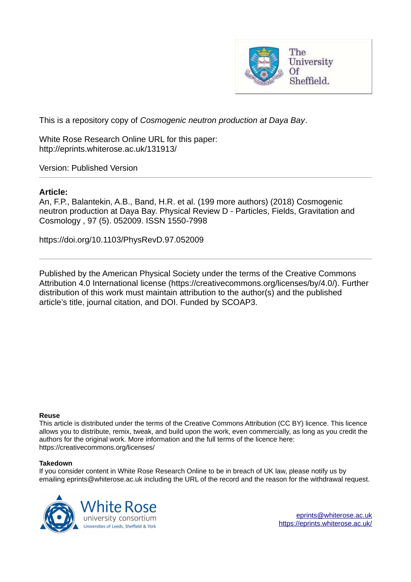

<span id="page-0-0"></span>This is a repository copy of *Cosmogenic neutron production at Daya Bay*.

White Rose Research Online URL for this paper: http://eprints.whiterose.ac.uk/131913/

Version: Published Version

# **Article:**

An, F.P., Balantekin, A.B., Band, H.R. et al. (199 more authors) (2018) Cosmogenic neutron production at Daya Bay. Physical Review D - Particles, Fields, Gravitation and Cosmology , 97 (5). 052009. ISSN 1550-7998

https://doi.org/10.1103/PhysRevD.97.052009

Published by the American Physical Society under the terms of the Creative Commons Attribution 4.0 International license (https://creativecommons.org/licenses/by/4.0/). Further distribution of this work must maintain attribution to the author(s) and the published article's title, journal citation, and DOI. Funded by SCOAP3.

## **Reuse**

This article is distributed under the terms of the Creative Commons Attribution (CC BY) licence. This licence allows you to distribute, remix, tweak, and build upon the work, even commercially, as long as you credit the authors for the original work. More information and the full terms of the licence here: https://creativecommons.org/licenses/

## **Takedown**

If you consider content in White Rose Research Online to be in breach of UK law, please notify us by emailing eprints@whiterose.ac.uk including the URL of the record and the reason for the withdrawal request.

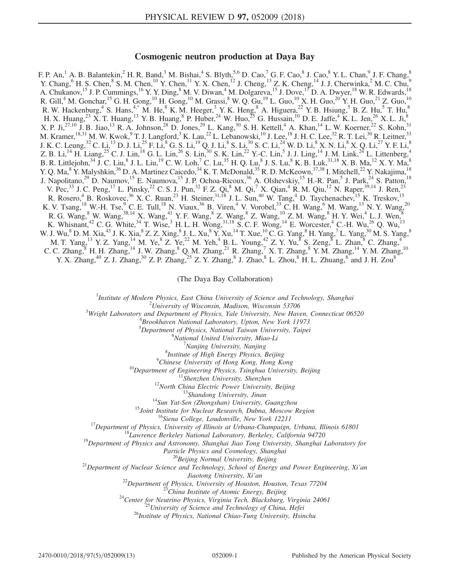## Cosmogenic neutron production at Daya Bay

F. P. An,<sup>1</sup> A. B. Balantekin,<sup>2</sup> H. R. Band,<sup>3</sup> M. Bishai,<sup>4</sup> S. Blyth,<sup>5,6</sup> D. Cao,<sup>7</sup> G. F. Cao,<sup>8</sup> J. Cao,<sup>8</sup> Y. L. Chan,<sup>9</sup> J. F. Chang,<sup>8</sup> Y. Chang,  $6$  H. S. Chen,  $8$  S. M. Chen,  $10$  Y. Chen,  $11$  Y. X. Chen,  $12$  J. Cheng,  $13$  Z. K. Cheng,  $14$  J. J. Cherwinka,  $2$  M. C. Chu,  $9$ A. Chukanov,<sup>15</sup> J. P. Cummings,<sup>16</sup> Y. Y. Ding,<sup>8</sup> M. V. Diwan,<sup>4</sup> M. Dolgareva,<sup>15</sup> J. Dove,<sup>17</sup> D. A. Dwyer,<sup>18</sup> W. R. Edwards,<sup>18</sup> R. Gill,<sup>4</sup> M. Gonchar,<sup>15</sup> G. H. Gong,<sup>10</sup> H. Gong,<sup>10</sup> M. Grassi,<sup>8</sup> W. Q. Gu,<sup>19</sup> L. Guo,<sup>10</sup> X. H. Guo,<sup>20</sup> Y. H. Guo,<sup>21</sup> Z. Guo,<sup>10</sup> R. W. Hackenburg, <sup>4</sup> S. Hans, <sup>4[,\\*](#page-1-0)</sup> M. He, <sup>8</sup> K. M. Heeger, <sup>3</sup> Y. K. Heng, <sup>8</sup> A. Higuera, <sup>22</sup> Y. B. Hsiung, <sup>5</sup> B. Z. Hu, <sup>5</sup> T. Hu, <sup>8</sup> H. X. Huang,<sup>23</sup> X. T. Huang,<sup>13</sup> Y. B. Huang,<sup>8</sup> P. Huber,<sup>24</sup> W. Huo,<sup>25</sup> G. Hussain,<sup>10</sup> D. E. Jaffe,<sup>4</sup> K. L. Jen,<sup>26</sup> X. L. Ji,<sup>8</sup> X. P. Ji,<sup>27,10</sup> J. B. Jiao,<sup>13</sup> R. A. Johnson,<sup>28</sup> D. Jones,<sup>29</sup> L. Kang,<sup>30</sup> S. H. Kettell,<sup>4</sup> A. Khan,<sup>14</sup> L. W. Koerner,<sup>22</sup> S. Kohn,<sup>31</sup> M. Kramer, <sup>18,31</sup> M. W. Kwok,  $9$  T. J. Langford,  $3$  K. Lau,  $22$  L. Lebanowski,  $10$  J. Lee,  $18$  J. H. C. Lee,  $32$  R. T. Lei,  $30$  R. Leitner,  $33$ J. K. C. Leung, $^{32}$  C. Li, $^{13}$  D. J. Li, $^{25}$  F. Li, $^8$  G. S. Li, $^{19}$  Q. J. Li, $^8$  S. Li, $^{30}$  S. C. Li, $^{24}$  W. D. Li, $^8$  X. N. Li, $^8$  X. Q. Li, $^{27}$  Y. F. Li, $^8$ Z. B. Li,<sup>14</sup> H. Liang,<sup>25</sup> C. J. Lin,<sup>18</sup> G. L. Lin,<sup>26</sup> S. Lin,<sup>30</sup> S. K. Lin,<sup>22</sup> Y.-C. Lin,<sup>5</sup> J. J. Ling,<sup>14</sup> J. M. Link,<sup>24</sup> L. Littenberg,<sup>4</sup> B. R. Littlejohn, $^{34}$  J. C. Liu, $^8$  J. L. Liu, $^{19}$  C. W. Loh, $^7$  C. Lu, $^{35}$  H. Q. Lu, $^8$  J. S. Lu, $^8$  K. B. Luk, $^{31,18}$  X. B. Ma, $^{12}$  X. Y. Ma, $^8$ Y. Q. Ma, <sup>8</sup> Y. Malyshkin, <sup>36</sup> D. A. Martinez Caicedo, <sup>34</sup> K. T. McDonald, <sup>35</sup> R. D. McKeown, <sup>37,38</sup> I. Mitchell, <sup>22</sup> Y. Nakajima, <sup>18</sup> J. Napolitano,<sup>29</sup> D. Naumov,<sup>15</sup> E. Naumova,<sup>15</sup> J. P. Ochoa-Ricoux,<sup>36</sup> A. Olshevskiy,<sup>15</sup> H.-R. Pan,<sup>5</sup> J. Park,<sup>24</sup> S. Patton,<sup>18</sup> V. Pec,<sup>33</sup> J. C. Peng,<sup>17</sup> L. Pinsky,<sup>22</sup> C. S. J. Pun,<sup>32</sup> F. Z. Qi,<sup>8</sup> M. Qi,<sup>7</sup> X. Qian,<sup>4</sup> R. M. Qiu,<sup>12</sup> N. Raper,<sup>39,14</sup> J. Ren,<sup>23</sup> R. Rosero,<sup>4</sup> B. Roskovec,<sup>36</sup> X. C. Ruan,<sup>23</sup> H. Steiner,<sup>31,18</sup> J. L. Sun,<sup>40</sup> W. Tang,<sup>4</sup> D. Taychenachev,<sup>15</sup> K. Treskov,<sup>15</sup> K. V. Tsang,<sup>18</sup> W.-H. Tse,<sup>9</sup> C. E. Tull,<sup>18</sup> N. Viaux,<sup>36</sup> B. Viren,<sup>4</sup> V. Vorobel,<sup>33</sup> C. H. Wang,<sup>6</sup> M. Wang,<sup>13</sup> N. Y. Wang,<sup>20</sup> R. G. Wang,  $8$  W. Wang,  $38,14$  X. Wang,  $41$  Y. F. Wang,  $8$  Z. Wang,  $8$  Z. Wang,  $10$  Z. M. Wang,  $8$  H. Y. Wei,  $4$  L. J. Wen,  $8$ K. Whisnant,<sup>42</sup> C. G. White,<sup>34</sup> T. Wise,<sup>3</sup> H. L. H. Wong,<sup>31,18</sup> S. C. F. Wong,<sup>14</sup> E. Worcester,<sup>4</sup> C.-H. Wu,<sup>26</sup> Q. Wu,<sup>13</sup> W. J. Wu,  $8$  D. M. Xia,  $43$  J. K. Xia,  $8$  Z. Z. Xing,  $8$  J. L. Xu,  $8$  Y. Xu,  $14$  T. Xue,  $10$  C. G. Yang,  $8$  H. Yang,  $7$  L. Yang,  $30$  M. S. Yang,  $8$ M. T. Yang,  $^{13}$  Y. Z. Yang,  $^{14}$  M. Ye,  $^{8}$  Z. Ye,  $^{22}$  M. Yeh,  $^{4}$  B. L. Young,  $^{42}$  Z. Y. Yu,  $^{8}$  S. Zeng,  $^{8}$  L. Zhan,  $^{8}$  C. Zhang,  $^{4}$ C. C. Zhang, $8$  H. H. Zhang, $14$  J. W. Zhang, $8$  Q. M. Zhang, $21$  R. Zhang, $7$  X. T. Zhang, $8$  Y. M. Zhang, $14$  Y. M. Zhang, $10$ Y. X. Zhang,<sup>40</sup> Z. J. Zhang,<sup>30</sup> Z. P. Zhang,<sup>25</sup> Z. Y. Zhang,<sup>8</sup> J. Zhao,<sup>8</sup> L. Zhou,<sup>8</sup> H. L. Zhuang,<sup>8</sup> and J. H. Zou<sup>8</sup>

(The Daya Bay Collaboration)

<sup>1</sup>Institute of Modern Physics, East China University of Science and Technology, Shanghai

 $2$ University of Wisconsin, Madison, Wisconsin 53706

<sup>3</sup>Wright Laboratory and Department of Physics, Yale University, New Haven, Connecticut 06520<br><sup>4</sup>Presekhaven National Laboratory, Unter Naw York 11073

Brookhaven National Laboratory, Upton, New York 11973

<sup>5</sup>Department of Physics, National Taiwan University, Taipei

<sup>6</sup>National United University, Miao-Li

<sup>7</sup>Nanjing University, Nanjing

8 Institute of High Energy Physics, Beijing

<sup>9</sup>Chinese University of Hong Kong, Hong Kong

 $10$ Department of Engineering Physics, Tsinghua University, Beijing

 $11$ Shenzhen University, Shenzhen

<sup>12</sup>North China Electric Power University, Beijing

<sup>13</sup>Shandong University, Jinan

<sup>14</sup>Sun Yat-Sen (Zhongshan) University, Guangzhou

<sup>15</sup>Joint Institute for Nuclear Research, Dubna, Moscow Region

<sup>16</sup>Siena College, Loudonville, New York 12211

 $17$ Department of Physics, University of Illinois at Urbana-Champaign, Urbana, Illinois 61801

<sup>18</sup>Lawrence Berkeley National Laboratory, Berkeley, California 94720

 $19$ Department of Physics and Astronomy, Shanghai Jiao Tong University, Shanghai Laboratory for

Particle Physics and Cosmology, Shanghai

<sup>20</sup>Beijing Normal University, Beijing

<span id="page-1-0"></span> $21$ Department of Nuclear Science and Technology, School of Energy and Power Engineering, Xi'an

Jiaotong University, Xi'an

 $^{22}$ Department of Physics, University of Houston, Houston, Texas 77204

<sup>23</sup>China Institute of Atomic Energy, Beijing

 $24$ Center for Neutrino Physics, Virginia Tech, Blacksburg, Virginia 24061

<sup>25</sup>University of Science and Technology of China, Hefei

<sup>26</sup>Institute of Physics, National Chiao-Tung University, Hsinchu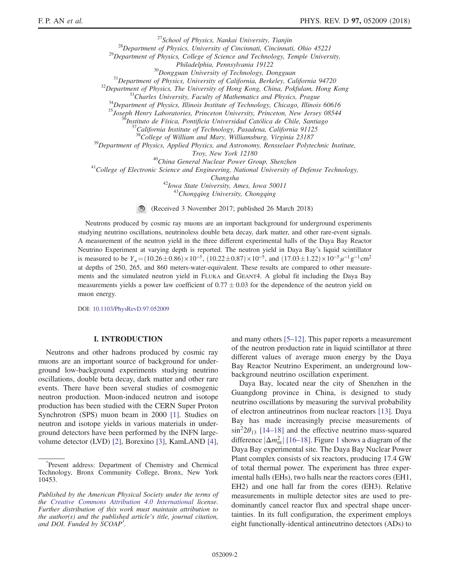<span id="page-2-0"></span> $^{27}$ School of Physics, Nankai University, Tianjin  $^{28}$ Department of Physics, University of Cincinnati, Cincinnati, Ohio 45221  $^{29}$ Department of Physics, College of Science and Technology, Temple University, Philadelphia, Pennsylvania 19122 <sup>30</sup>Dongguan University of Technology, Dongguan  $31$ Department of Physics, University of California, Berkeley, California 94720  $32$ Department of Physics, The University of Hong Kong, China, Pokfulam, Hong Kong  $33$ Charles University, Faculty of Mathematics and Physics, Prague  $34$ Department of Physics, Illinois Institute of Technology, Chicago, Illinois 60616 <sup>35</sup>Joseph Henry Laboratories, Princeton University, Princeton, New Jersey 08544 <sup>36</sup>Instituto de Física, Pontificia Universidad Católica de Chile, Santiago  $^{7}$ California Institute of Technology, Pasadena, California 91125  $38^3$ College of William and Mary, Williamsburg, Virginia 23187  $39$ Department of Physics, Applied Physics, and Astronomy, Rensselaer Polytechnic Institute, Troy, New York 12180 <sup>40</sup>China General Nuclear Power Group, Shenzhen  $<sup>41</sup>$ College of Electronic Science and Engineering, National University of Defense Technology,</sup> Changsha <sup>42</sup>Iowa State University, Ames, Iowa 50011  $43$ Chongqing University, Chongqing

> $\bigcirc$ (Received 3 November 2017; published 26 March 2018)

Neutrons produced by cosmic ray muons are an important background for underground experiments studying neutrino oscillations, neutrinoless double beta decay, dark matter, and other rare-event signals. A measurement of the neutron yield in the three different experimental halls of the Daya Bay Reactor Neutrino Experiment at varying depth is reported. The neutron yield in Daya Bay's liquid scintillator is measured to be  $Y_n = (10.26 \pm 0.86) \times 10^{-5}$ ,  $(10.22 \pm 0.87) \times 10^{-5}$ , and  $(17.03 \pm 1.22) \times 10^{-5} \mu^{-1} \text{ g}^{-1} \text{ cm}^2$ at depths of 250, 265, and 860 meters-water-equivalent. These results are compared to other measurements and the simulated neutron yield in FLUKA and GEANT4. A global fit including the Daya Bay measurements yields a power law coefficient of  $0.77 \pm 0.03$  for the dependence of the neutron yield on muon energy.

DOI: [10.1103/PhysRevD.97.052009](https://doi.org/10.1103/PhysRevD.97.052009)

## I. INTRODUCTION

<span id="page-2-1"></span>Neutrons and other hadrons produced by cosmic ray muons are an important source of background for underground low-background experiments studying neutrino oscillations, double beta decay, dark matter and other rare events. There have been several studies of cosmogenic neutron production. Muon-induced neutron and isotope production has been studied with the CERN Super Proton Synchrotron (SPS) muon beam in 2000 [\[1\].](#page-11-0) Studies on neutron and isotope yields in various materials in underground detectors have been performed by the INFN largevolume detector (LVD) [\[2\],](#page-11-1) Borexino [\[3\]](#page-11-2), KamLAND [\[4\]](#page-11-3), and many others [5–[12\]](#page-11-4). This paper reports a measurement of the neutron production rate in liquid scintillator at three different values of average muon energy by the Daya Bay Reactor Neutrino Experiment, an underground lowbackground neutrino oscillation experiment.

Daya Bay, located near the city of Shenzhen in the Guangdong province in China, is designed to study neutrino oscillations by measuring the survival probability of electron antineutrinos from nuclear reactors [\[13\]](#page-12-0). Daya Bay has made increasingly precise measurements of  $\sin^2 2\theta_{13}$  [\[14](#page-12-1)–18] and the effective neutrino mass-squared difference  $|\Delta m_{\text{ee}}^2|$  [16–[18\].](#page-12-2) Figure [1](#page-2-0) shows a diagram of the Daya Bay experimental site. The Daya Bay Nuclear Power Plant complex consists of six reactors, producing 17.4 GW of total thermal power. The experiment has three experimental halls (EHs), two halls near the reactors cores (EH1, EH2) and one hall far from the cores (EH3). Relative measurements in multiple detector sites are used to predominantly cancel reactor flux and spectral shape uncertainties. In its full configuration, the experiment employs eight functionally-identical antineutrino detectors (ADs) to

[<sup>\\*</sup>](#page-0-0) Present address: Department of Chemistry and Chemical Technology, Bronx Community College, Bronx, New York 10453.

Published by the American Physical Society under the terms of the [Creative Commons Attribution 4.0 International](https://creativecommons.org/licenses/by/4.0/) license. Further distribution of this work must maintain attribution to the author(s) and the published article's title, journal citation, and DOI. Funded by SCOAP<sup>3</sup>.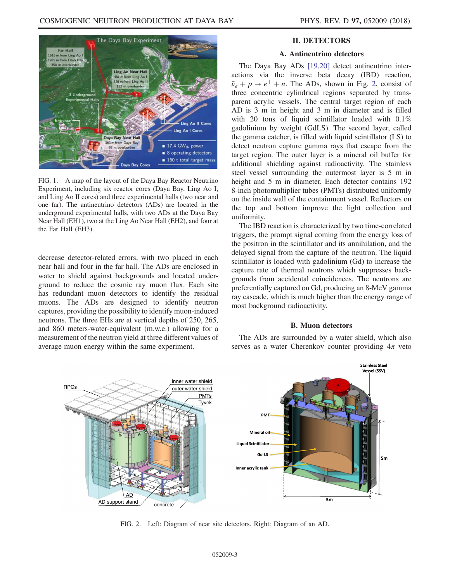<span id="page-3-0"></span>

FIG. 1. A map of the layout of the Daya Bay Reactor Neutrino Experiment, including six reactor cores (Daya Bay, Ling Ao I, and Ling Ao II cores) and three experimental halls (two near and one far). The antineutrino detectors (ADs) are located in the underground experimental halls, with two ADs at the Daya Bay Near Hall (EH1), two at the Ling Ao Near Hall (EH2), and four at the Far Hall (EH3).

decrease detector-related errors, with two placed in each near hall and four in the far hall. The ADs are enclosed in water to shield against backgrounds and located underground to reduce the cosmic ray muon flux. Each site has redundant muon detectors to identify the residual muons. The ADs are designed to identify neutron captures, providing the possibility to identify muon-induced neutrons. The three EHs are at vertical depths of 250, 265, and 860 meters-water-equivalent (m.w.e.) allowing for a measurement of the neutron yield at three different values of average muon energy within the same experiment.

## II. DETECTORS

## A. Antineutrino detectors

<span id="page-3-1"></span>The Daya Bay ADs [\[19,20\]](#page-12-3) detect antineutrino interactions via the inverse beta decay (IBD) reaction,  $\bar{\nu}_e + p \rightarrow e^+ + n$ . The ADs, shown in Fig. [2](#page-2-1), consist of three concentric cylindrical regions separated by transparent acrylic vessels. The central target region of each AD is 3 m in height and 3 m in diameter and is filled with 20 tons of liquid scintillator loaded with 0.1% gadolinium by weight (GdLS). The second layer, called the gamma catcher, is filled with liquid scintillator (LS) to detect neutron capture gamma rays that escape from the target region. The outer layer is a mineral oil buffer for additional shielding against radioactivity. The stainless steel vessel surrounding the outermost layer is 5 m in height and 5 m in diameter. Each detector contains 192 8-inch photomultiplier tubes (PMTs) distributed uniformly on the inside wall of the containment vessel. Reflectors on the top and bottom improve the light collection and uniformity.

<span id="page-3-2"></span>The IBD reaction is characterized by two time-correlated triggers, the prompt signal coming from the energy loss of the positron in the scintillator and its annihilation, and the delayed signal from the capture of the neutron. The liquid scintillator is loaded with gadolinium (Gd) to increase the capture rate of thermal neutrons which suppresses backgrounds from accidental coincidences. The neutrons are preferentially captured on Gd, producing an 8-MeV gamma ray cascade, which is much higher than the energy range of most background radioactivity.

## B. Muon detectors

The ADs are surrounded by a water shield, which also serves as a water Cherenkov counter providing  $4\pi$  veto



FIG. 2. Left: Diagram of near site detectors. Right: Diagram of an AD.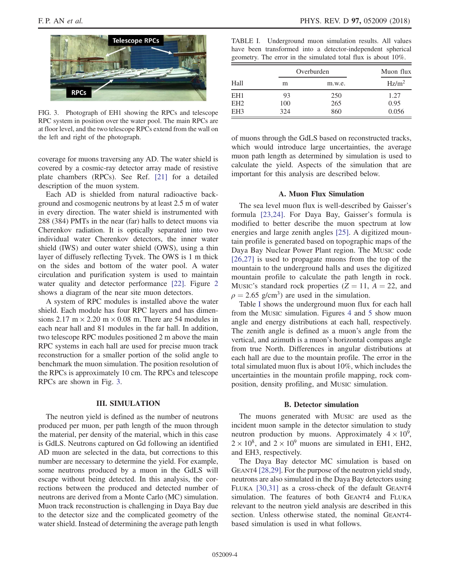<span id="page-4-0"></span>

FIG. 3. Photograph of EH1 showing the RPCs and telescope RPC system in position over the water pool. The main RPCs are at floor level, and the two telescope RPCs extend from the wall on the left and right of the photograph.

coverage for muons traversing any AD. The water shield is covered by a cosmic-ray detector array made of resistive plate chambers (RPCs). See Ref. [\[21\]](#page-12-4) for a detailed description of the muon system.

Each AD is shielded from natural radioactive background and cosmogenic neutrons by at least 2.5 m of water in every direction. The water shield is instrumented with 288 (384) PMTs in the near (far) halls to detect muons via Cherenkov radiation. It is optically separated into two individual water Cherenkov detectors, the inner water shield (IWS) and outer water shield (OWS), using a thin layer of diffusely reflecting Tyvek. The OWS is 1 m thick on the sides and bottom of the water pool. A water circulation and purification system is used to maintain water quality and detector performance [\[22\].](#page-12-5) Figure [2](#page-2-1) shows a diagram of the near site muon detectors.

A system of RPC modules is installed above the water shield. Each module has four RPC layers and has dimensions 2.17 m  $\times$  2.20 m  $\times$  0.08 m. There are 54 modules in each near hall and 81 modules in the far hall. In addition, two telescope RPC modules positioned 2 m above the main RPC systems in each hall are used for precise muon track reconstruction for a smaller portion of the solid angle to benchmark the muon simulation. The position resolution of the RPCs is approximately 10 cm. The RPCs and telescope RPCs are shown in Fig. [3.](#page-3-0)

### III. SIMULATION

<span id="page-4-1"></span>The neutron yield is defined as the number of neutrons produced per muon, per path length of the muon through the material, per density of the material, which in this case is GdLS. Neutrons captured on Gd following an identified AD muon are selected in the data, but corrections to this number are necessary to determine the yield. For example, some neutrons produced by a muon in the GdLS will escape without being detected. In this analysis, the corrections between the produced and detected number of neutrons are derived from a Monte Carlo (MC) simulation. Muon track reconstruction is challenging in Daya Bay due to the detector size and the complicated geometry of the water shield. Instead of determining the average path length

| TABLE I. Underground muon simulation results. All values      |  |  |
|---------------------------------------------------------------|--|--|
| have been transformed into a detector-independent spherical   |  |  |
| geometry. The error in the simulated total flux is about 10%. |  |  |

|                 |     | Overburden | Muon flux         |  |
|-----------------|-----|------------|-------------------|--|
| Hall            | m   | m.w.e.     | Hz/m <sup>2</sup> |  |
| EH <sub>1</sub> | 93  | 250        | 1.27              |  |
| EH <sub>2</sub> | 100 | 265        | 0.95              |  |
| EH <sub>3</sub> | 324 | 860        | 0.056             |  |

of muons through the GdLS based on reconstructed tracks, which would introduce large uncertainties, the average muon path length as determined by simulation is used to calculate the yield. Aspects of the simulation that are important for this analysis are described below.

## A. Muon Flux Simulation

The sea level muon flux is well-described by Gaisser's formula [\[23,24\].](#page-12-6) For Daya Bay, Gaisser's formula is modified to better describe the muon spectrum at low energies and large zenith angles [\[25\].](#page-12-7) A digitized mountain profile is generated based on topographic maps of the Daya Bay Nuclear Power Plant region. The MUSIC code [\[26,27\]](#page-12-8) is used to propagate muons from the top of the mountain to the underground halls and uses the digitized mountain profile to calculate the path length in rock. Music's standard rock properties  $(Z = 11, A = 22, and$  $\rho = 2.65$  g/cm<sup>3</sup>) are used in the simulation.

Table [I](#page-3-1) shows the underground muon flux for each hall from the MUSIC simulation. Figures [4](#page-4-0) and [5](#page-4-1) show muon angle and energy distributions at each hall, respectively. The zenith angle is defined as a muon's angle from the vertical, and azimuth is a muon's horizontal compass angle from true North. Differences in angular distributions at each hall are due to the mountain profile. The error in the total simulated muon flux is about 10%, which includes the uncertainties in the mountain profile mapping, rock composition, density profiling, and MUSIC simulation.

#### B. Detector simulation

The muons generated with MUSIC are used as the incident muon sample in the detector simulation to study neutron production by muons. Approximately  $4 \times 10^6$ ,  $2 \times 10^8$ , and  $2 \times 10^9$  muons are simulated in EH1, EH2, and EH3, respectively.

<span id="page-4-2"></span>The Daya Bay detector MC simulation is based on GEANT4 [\[28,29\]](#page-12-9). For the purpose of the neutron yield study, neutrons are also simulated in the Daya Bay detectors using FLUKA [\[30,31\]](#page-12-10) as a cross-check of the default GEANT4 simulation. The features of both GEANT4 and FLUKA relevant to the neutron yield analysis are described in this section. Unless otherwise stated, the nominal GEANT4based simulation is used in what follows.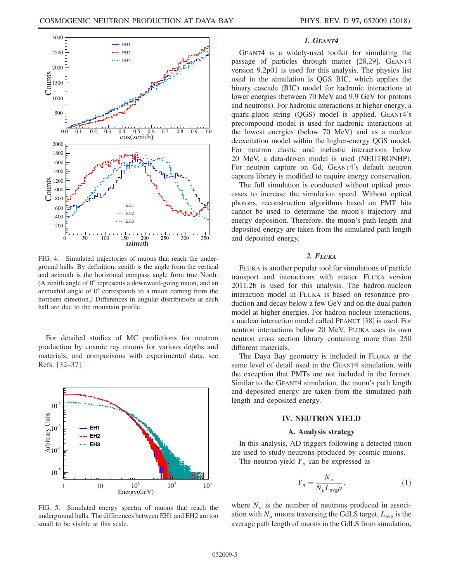

FIG. 4. Simulated trajectories of muons that reach the underground halls. By definition, zenith is the angle from the vertical and azimuth is the horizontal compass angle from true North. (A zenith angle of 0° represents a downward-going muon, and an azimuthal angle of 0° corresponds to a muon coming from the northern direction.) Differences in angular distributions at each hall are due to the mountain profile.

For detailed studies of MC predictions for neutron production by cosmic ray muons for various depths and materials, and comparisons with experimental data, see Refs. [\[32](#page-12-11)–37].

<span id="page-5-0"></span>

FIG. 5. Simulated energy spectra of muons that reach the underground halls. The differences between EH1 and EH2 are too small to be visible at this scale.

## 1. GEANT4

GEANT4 is a widely-used toolkit for simulating the passage of particles through matter [\[28,29\]](#page-12-9). GEANT4 version 9.2p01 is used for this analysis. The physics list used in the simulation is QGS BIC, which applies the binary cascade (BIC) model for hadronic interactions at lower energies (between 70 MeV and 9.9 GeV for protons and neutrons). For hadronic interactions at higher energy, a quark-gluon string (QGS) model is applied. GEANT4's precompound model is used for hadronic interactions at the lowest energies (below 70 MeV) and as a nuclear deexcitation model within the higher-energy QGS model. For neutron elastic and inelastic interactions below 20 MeV, a data-driven model is used (NEUTRONHP). For neutron capture on Gd, GEANT4's default neutron capture library is modified to require energy conservation.

The full simulation is conducted without optical processes to increase the simulation speed. Without optical photons, reconstruction algorithms based on PMT hits cannot be used to determine the muon's trajectory and energy deposition. Therefore, the muon's path length and deposited energy are taken from the simulated path length and deposited energy.

#### 2. FLUKA

FLUKA is another popular tool for simulations of particle transport and interactions with matter. FLUKA version 2011.2b is used for this analysis. The hadron-nucleon interaction model in FLUKA is based on resonance production and decay below a few GeV and on the dual parton model at higher energies. For hadron-nucleus interactions, a nuclear interaction model called PEANUT [\[38\]](#page-12-12) is used. For neutron interactions below 20 MeV, FLUKA uses its own neutron cross section library containing more than 250 different materials.

<span id="page-5-1"></span>The Daya Bay geometry is included in FLUKA at the same level of detail used in the GEANT4 simulation, with the exception that PMTs are not included in the former. Similar to the GEANT4 simulation, the muon's path length and deposited energy are taken from the simulated path length and deposited energy.

## IV. NEUTRON YIELD

### A. Analysis strategy

In this analysis, AD triggers following a detected muon are used to study neutrons produced by cosmic muons.

The neutron yield  $Y_n$  can be expressed as

$$
Y_n = \frac{N_n}{N_\mu L_{\text{avg}} \rho},\tag{1}
$$

where  $N_n$  is the number of neutrons produced in association with  $N_{\mu}$  muons traversing the GdLS target,  $L_{\text{avg}}$  is the average path length of muons in the GdLS from simulation,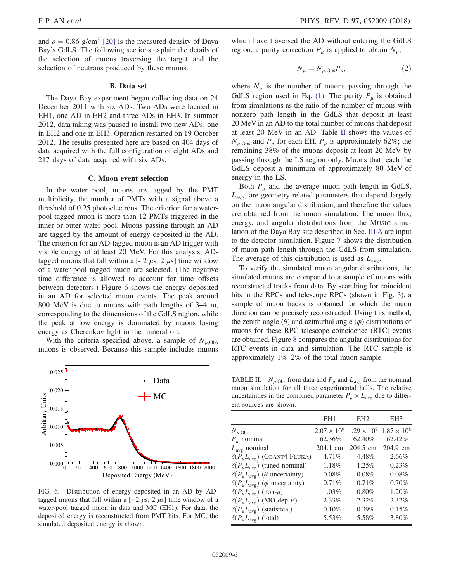<span id="page-6-0"></span>and  $\rho = 0.86$  g/cm<sup>3</sup> [\[20\]](#page-12-13) is the measured density of Daya Bay's GdLS. The following sections explain the details of the selection of muons traversing the target and the selection of neutrons produced by these muons.

#### B. Data set

The Daya Bay experiment began collecting data on 24 December 2011 with six ADs. Two ADs were located in EH1, one AD in EH2 and three ADs in EH3. In summer 2012, data taking was paused to install two new ADs, one in EH2 and one in EH3. Operation restarted on 19 October 2012. The results presented here are based on 404 days of data acquired with the full configuration of eight ADs and 217 days of data acquired with six ADs.

#### C. Muon event selection

In the water pool, muons are tagged by the PMT multiplicity, the number of PMTs with a signal above a threshold of 0.25 photoelectrons. The criterion for a waterpool tagged muon is more than 12 PMTs triggered in the inner or outer water pool. Muons passing through an AD are tagged by the amount of energy deposited in the AD. The criterion for an AD-tagged muon is an AD trigger with visible energy of at least 20 MeV. For this analysis, ADtagged muons that fall within a  $[-2 \mu s, 2 \mu s]$  time window of a water-pool tagged muon are selected. (The negative time difference is allowed to account for time offsets between detectors.) Figure [6](#page-5-0) shows the energy deposited in an AD for selected muon events. The peak around 800 MeV is due to muons with path lengths of 3–4 m, corresponding to the dimensions of the GdLS region, while the peak at low energy is dominated by muons losing energy as Cherenkov light in the mineral oil.

With the criteria specified above, a sample of  $N_{\mu}$ <sub>Obs</sub> muons is observed. Because this sample includes muons



FIG. 6. Distribution of energy deposited in an AD by ADtagged muons that fall within a  $[-2 \mu s, 2 \mu s]$  time window of a water-pool tagged muon in data and MC (EH1). For data, the deposited energy is reconstructed from PMT hits. For MC, the simulated deposited energy is shown.

<span id="page-6-1"></span>which have traversed the AD without entering the GdLS region, a purity correction  $P_{\mu}$  is applied to obtain  $N_{\mu}$ ,

$$
N_{\mu} = N_{\mu, \text{Obs}} P_{\mu},\tag{2}
$$

where  $N_{\mu}$  is the number of muons passing through the GdLS region used in Eq. [\(1\)](#page-4-2). The purity  $P_{\mu}$  is obtained from simulations as the ratio of the number of muons with nonzero path length in the GdLS that deposit at least 20 MeV in an AD to the total number of muons that deposit at least 20 MeV in an AD. Table [II](#page-5-1) shows the values of  $N_{\mu, \text{Obs}}$  and  $P_{\mu}$  for each EH.  $P_{\mu}$  is approximately 62%; the remaining 38% of the muons deposit at least 20 MeV by passing through the LS region only. Muons that reach the GdLS deposit a minimum of approximately 80 MeV of energy in the LS.

Both  $P_{\mu}$  and the average muon path length in GdLS,  $L_{\text{avg}}$ , are geometry-related parameters that depend largely on the muon angular distribution, and therefore the values are obtained from the muon simulation. The muon flux, energy, and angular distributions from the MUSIC simulation of the Daya Bay site described in Sec. [III A](#page-3-2) are input to the detector simulation. Figure [7](#page-6-0) shows the distribution of muon path length through the GdLS from simulation. The average of this distribution is used as  $L_{\text{avg}}$ .

To verify the simulated muon angular distributions, the simulated muons are compared to a sample of muons with reconstructed tracks from data. By searching for coincident hits in the RPCs and telescope RPCs (shown in Fig. [3\)](#page-3-0), a sample of muon tracks is obtained for which the muon direction can be precisely reconstructed. Using this method, the zenith angle  $(\theta)$  and azimuthal angle  $(\phi)$  distributions of muons for these RPC telescope coincidence (RTC) events are obtained. Figure [8](#page-6-1) compares the angular distributions for RTC events in data and simulation. The RTC sample is approximately 1%–2% of the total muon sample.

TABLE II.  $N_{\mu, \text{Obs}}$  from data and  $P_{\mu}$  and  $L_{\text{avg}}$  from the nominal muon simulation for all three experimental halls. The relative uncertainties in the combined parameter  $P_{\mu} \times L_{\text{avg}}$  due to different sources are shown.

|                                                      | EH <sub>1</sub> | EH2                                   | EH <sub>3</sub>    |
|------------------------------------------------------|-----------------|---------------------------------------|--------------------|
| $N_{\mu, \text{Obs}}$                                |                 | $2.07 \times 10^9$ 1.29 $\times 10^9$ | $1.87 \times 10^8$ |
| $P_u$ nominal                                        | 62.36%          | 62.40\%                               | 62.42%             |
| $L_{\text{avg}}$ nominal                             | 204.1 cm        | 204.5 cm                              | 204.9 cm           |
| $\delta(P_{\mu}L_{avg})$ (GEANT4-FLUKA)              | $4.71\%$        | 4.48%                                 | 2.66%              |
| $\delta(P_{\mu}L_{avg})$ (tuned-nominal)             | 1.18%           | 1.25%                                 | 0.23%              |
| $\delta(P_\mu L_{avg})$ ( $\theta$ uncertainty)      | 0.08%           | 0.08%                                 | 0.08%              |
| $\delta(P_\mu L_{\text{avg}})$ ( $\phi$ uncertainty) | $0.71\%$        | 0.71%                                 | 0.70%              |
| $\delta(P_\mu L_{\text{avg}})$ (non- $\mu$ )         | $1.03\%$        | 0.80%                                 | 1.20%              |
| $\delta(P_{\mu}L_{\text{avg}})$ (MO dep-E)           | $2.33\%$        | 2.32%                                 | 2.32%              |
| $\delta(P_{\mu}L_{\text{avg}})$ (statistical)        | 0.10%           | 0.39%                                 | 0.15%              |
| $\delta(P_{\mu}L_{avg})$ (total)                     | 5.53%           | 5.58%                                 | 3.80%              |
|                                                      |                 |                                       |                    |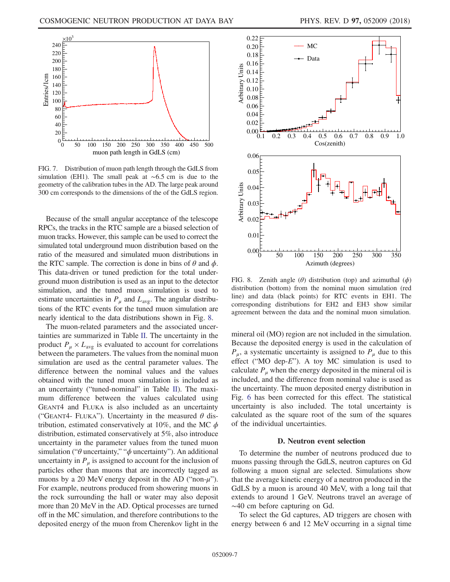<span id="page-7-0"></span>

FIG. 7. Distribution of muon path length through the GdLS from simulation (EH1). The small peak at ∼6.5 cm is due to the geometry of the calibration tubes in the AD. The large peak around 300 cm corresponds to the dimensions of the of the GdLS region.

Because of the small angular acceptance of the telescope RPCs, the tracks in the RTC sample are a biased selection of muon tracks. However, this sample can be used to correct the simulated total underground muon distribution based on the ratio of the measured and simulated muon distributions in the RTC sample. The correction is done in bins of  $\theta$  and  $\phi$ . This data-driven or tuned prediction for the total underground muon distribution is used as an input to the detector simulation, and the tuned muon simulation is used to estimate uncertainties in  $P_{\mu}$  and  $L_{\text{avg}}$ . The angular distributions of the RTC events for the tuned muon simulation are nearly identical to the data distributions shown in Fig. [8](#page-6-1).

<span id="page-7-3"></span>The muon-related parameters and the associated uncertainties are summarized in Table [II](#page-5-1). The uncertainty in the product  $P_{\mu} \times L_{\text{avg}}$  is evaluated to account for correlations between the parameters. The values from the nominal muon simulation are used as the central parameter values. The difference between the nominal values and the values obtained with the tuned muon simulation is included as an uncertainty ("tuned-nominal" in Table [II\)](#page-5-1). The maximum difference between the values calculated using GEANT4 and FLUKA is also included as an uncertainty ("GEANT4- FLUKA"). Uncertainty in the measured  $\theta$  distribution, estimated conservatively at 10%, and the MC  $\phi$ distribution, estimated conservatively at 5%, also introduce uncertainty in the parameter values from the tuned muon simulation (" $\theta$  uncertainty," " $\phi$  uncertainty"). An additional uncertainty in  $P_{\mu}$  is assigned to account for the inclusion of particles other than muons that are incorrectly tagged as muons by a 20 MeV energy deposit in the AD ("non- $\mu$ "). For example, neutrons produced from showering muons in the rock surrounding the hall or water may also deposit more than 20 MeV in the AD. Optical processes are turned off in the MC simulation, and therefore contributions to the deposited energy of the muon from Cherenkov light in the

<span id="page-7-1"></span>

FIG. 8. Zenith angle  $(\theta)$  distribution (top) and azimuthal  $(\phi)$ distribution (bottom) from the nominal muon simulation (red line) and data (black points) for RTC events in EH1. The corresponding distributions for EH2 and EH3 show similar agreement between the data and the nominal muon simulation.

<span id="page-7-2"></span>mineral oil (MO) region are not included in the simulation. Because the deposited energy is used in the calculation of  $P_{\mu}$ , a systematic uncertainty is assigned to  $P_{\mu}$  due to this effect ("MO dep- $E$ "). A toy MC simulation is used to calculate  $P_{\mu}$  when the energy deposited in the mineral oil is included, and the difference from nominal value is used as the uncertainty. The muon deposited energy distribution in Fig. [6](#page-5-0) has been corrected for this effect. The statistical uncertainty is also included. The total uncertainty is calculated as the square root of the sum of the squares of the individual uncertainties.

## D. Neutron event selection

To determine the number of neutrons produced due to muons passing through the GdLS, neutron captures on Gd following a muon signal are selected. Simulations show that the average kinetic energy of a neutron produced in the GdLS by a muon is around 40 MeV, with a long tail that extends to around 1 GeV. Neutrons travel an average of ∼40 cm before capturing on Gd.

To select the Gd captures, AD triggers are chosen with energy between 6 and 12 MeV occurring in a signal time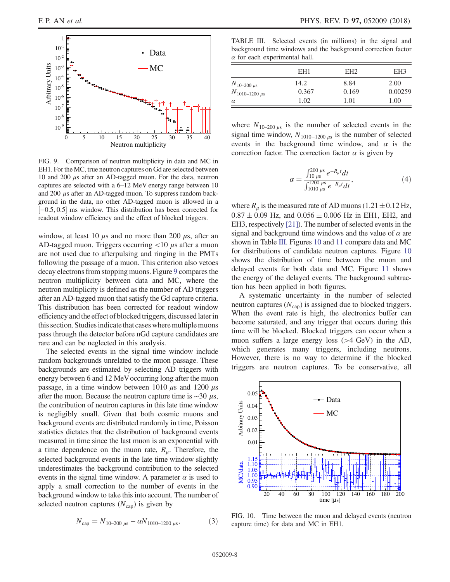<span id="page-8-0"></span>

FIG. 9. Comparison of neutron multiplicity in data and MC in EH1. For the MC, true neutron captures on Gd are selected between 10 and 200 μs after an AD-tagged muon. For the data, neutron captures are selected with a 6–12 MeV energy range between 10 and  $200 \mu s$  after an AD-tagged muon. To suppress random background in the data, no other AD-tagged muon is allowed in a ½−0.5; 0.5 ms window. This distribution has been corrected for readout window efficiency and the effect of blocked triggers.

window, at least 10  $\mu$ s and no more than 200  $\mu$ s, after an AD-tagged muon. Triggers occurring  $<$ 10  $\mu$ s after a muon are not used due to afterpulsing and ringing in the PMTs following the passage of a muon. This criterion also vetoes decay electrons from stopping muons. Figure [9](#page-7-0) compares the neutron multiplicity between data and MC, where the neutron multiplicity is defined as the number of AD triggers after an AD-tagged muon that satisfy the Gd capture criteria. This distribution has been corrected for readout window efficiency and the effect of blocked triggers, discussed later in this section. Studies indicate that cases where multiple muons pass through the detector before nGd capture candidates are rare and can be neglected in this analysis.

The selected events in the signal time window include random backgrounds unrelated to the muon passage. These backgrounds are estimated by selecting AD triggers with energy between 6 and 12 MeVoccurring long after the muon passage, in a time window between 1010  $\mu$ s and 1200  $\mu$ s after the muon. Because the neutron capture time is  $\sim$ 30  $\mu$ s, the contribution of neutron captures in this late time window is negligibly small. Given that both cosmic muons and background events are distributed randomly in time, Poisson statistics dictates that the distribution of background events measured in time since the last muon is an exponential with a time dependence on the muon rate,  $R_{\mu}$ . Therefore, the selected background events in the late time window slightly underestimates the background contribution to the selected events in the signal time window. A parameter  $\alpha$  is used to apply a small correction to the number of events in the background window to take this into account. The number of selected neutron captures  $(N_{\text{cap}})$  is given by

<span id="page-8-1"></span>
$$
N_{\rm cap} = N_{10-200 \,\mu s} - \alpha N_{1010-1200 \,\mu s},\tag{3}
$$

<span id="page-8-2"></span>TABLE III. Selected events (in millions) in the signal and background time windows and the background correction factor  $\alpha$  for each experimental hall.

|                                             | EH <sub>1</sub> | EH <sub>2</sub> | EH <sub>3</sub> |
|---------------------------------------------|-----------------|-----------------|-----------------|
| $N_{10-200 \mu s}$<br>$N_{1010-1200 \mu s}$ | 14.2<br>0.367   | 8.84<br>0.169   | 2.00<br>0.00259 |
| $\alpha$                                    | 1.02            | 1.01            | 1.00            |

<span id="page-8-3"></span>where  $N_{10-200 \mu s}$  is the number of selected events in the signal time window,  $N_{1010-1200 \mu s}$  is the number of selected events in the background time window, and  $\alpha$  is the correction factor. The correction factor  $\alpha$  is given by

$$
\alpha = \frac{\int_{10\,\mu s}^{200\,\mu s} e^{-R_{\mu}t} dt}{\int_{1010\,\mu s}^{1200\,\mu s} e^{-R_{\mu}t} dt},\tag{4}
$$

where  $R_{\mu}$  is the measured rate of AD muons (1.21  $\pm$  0.12 Hz,  $0.87 \pm 0.09$  Hz, and  $0.056 \pm 0.006$  Hz in EH1, EH2, and EH3, respectively [\[21\]\)](#page-12-4). The number of selected events in the signal and background time windows and the value of  $\alpha$  are shown in Table [III](#page-7-1). Figures [10](#page-7-2) and [11](#page-8-0) compare data and MC for distributions of candidate neutron captures. Figure [10](#page-7-2) shows the distribution of time between the muon and delayed events for both data and MC. Figure [11](#page-8-0) shows the energy of the delayed events. The background subtraction has been applied in both figures.

A systematic uncertainty in the number of selected neutron captures  $(N_{\text{cap}})$  is assigned due to blocked triggers. When the event rate is high, the electronics buffer can become saturated, and any trigger that occurs during this time will be blocked. Blocked triggers can occur when a muon suffers a large energy loss (>4 GeV) in the AD, which generates many triggers, including neutrons. However, there is no way to determine if the blocked triggers are neutron captures. To be conservative, all

<span id="page-8-4"></span>

FIG. 10. Time between the muon and delayed events (neutron capture time) for data and MC in EH1.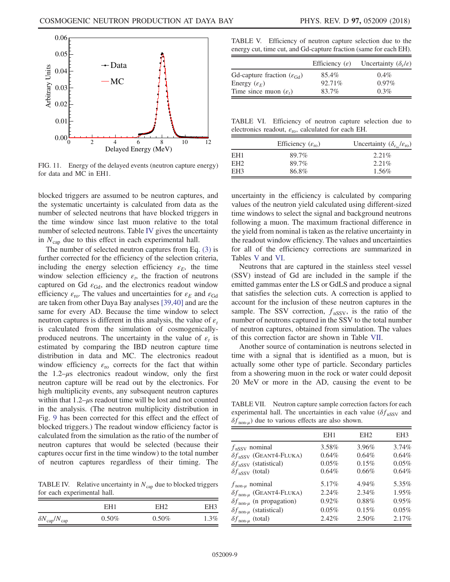

FIG. 11. Energy of the delayed events (neutron capture energy) for data and MC in EH1.

blocked triggers are assumed to be neutron captures, and the systematic uncertainty is calculated from data as the number of selected neutrons that have blocked triggers in the time window since last muon relative to the total number of selected neutrons. Table [IV](#page-8-1) gives the uncertainty in  $N_{\text{can}}$  due to this effect in each experimental hall.

<span id="page-9-0"></span>The number of selected neutron captures from Eq. [\(3\)](#page-7-3) is further corrected for the efficiency of the selection criteria, including the energy selection efficiency  $\varepsilon_F$ , the time window selection efficiency  $\varepsilon_t$ , the fraction of neutrons captured on Gd  $\varepsilon_{\text{Gd}}$ , and the electronics readout window efficiency  $\varepsilon_{\rm ro}$ . The values and uncertainties for  $\varepsilon_{E}$  and  $\varepsilon_{\rm Gd}$ are taken from other Daya Bay analyses [\[39,40\]](#page-12-14) and are the same for every AD. Because the time window to select neutron captures is different in this analysis, the value of  $\varepsilon_t$ is calculated from the simulation of cosmogenicallyproduced neutrons. The uncertainty in the value of  $\varepsilon_t$  is estimated by comparing the IBD neutron capture time distribution in data and MC. The electronics readout window efficiency  $\varepsilon_{\rm ro}$  corrects for the fact that within the 1.2– $\mu$ s electronics readout window, only the first neutron capture will be read out by the electronics. For high multiplicity events, any subsequent neutron captures within that  $1.2$ –μs readout time will be lost and not counted in the analysis. (The neutron multiplicity distribution in Fig. [9](#page-7-0) has been corrected for this effect and the effect of blocked triggers.) The readout window efficiency factor is calculated from the simulation as the ratio of the number of neutron captures that would be selected (because their captures occur first in the time window) to the total number of neutron captures regardless of their timing. The

TABLE IV. Relative uncertainty in  $N_{\text{cap}}$  due to blocked triggers for each experimental hall.

|                                  | EH1      | EH <sub>2</sub> | EH3     |
|----------------------------------|----------|-----------------|---------|
| $\delta N_{\rm cap}/N_{\rm cap}$ | $0.50\%$ | $0.50\%$        | $1.3\%$ |

<span id="page-9-1"></span>TABLE V. Efficiency of neutron capture selection due to the energy cut, time cut, and Gd-capture fraction (same for each EH).

|                                                 | Efficiency $(\varepsilon)$ | Uncertainty $(\delta_e/\varepsilon)$ |
|-------------------------------------------------|----------------------------|--------------------------------------|
| Gd-capture fraction $(\varepsilon_{\text{Gd}})$ | 85.4%                      | $0.4\%$                              |
| Energy $(\varepsilon_F)$                        | 92.71\%                    | $0.97\%$                             |
| Time since muon $(\varepsilon_t)$               | 83.7%                      | $0.3\%$                              |

TABLE VI. Efficiency of neutron capture selection due to electronics readout,  $\varepsilon_{\rm ro}$ , calculated for each EH.

|     | Efficiency $(\varepsilon_{\rm ro})$ | Uncertainty $(\delta_{\varepsilon_{\rm m}}/\varepsilon_{\rm ro})$ |
|-----|-------------------------------------|-------------------------------------------------------------------|
| EH1 | 89.7%                               | $2.21\%$                                                          |
| EH2 | 89.7%                               | $2.21\%$                                                          |
| EH3 | 86.8%                               | 1.56%                                                             |

uncertainty in the efficiency is calculated by comparing values of the neutron yield calculated using different-sized time windows to select the signal and background neutrons following a muon. The maximum fractional difference in the yield from nominal is taken as the relative uncertainty in the readout window efficiency. The values and uncertainties for all of the efficiency corrections are summarized in Tables [V](#page-8-2) and [VI](#page-8-3).

Neutrons that are captured in the stainless steel vessel (SSV) instead of Gd are included in the sample if the emitted gammas enter the LS or GdLS and produce a signal that satisfies the selection cuts. A correction is applied to account for the inclusion of these neutron captures in the sample. The SSV correction,  $f_{\text{nSSV}}$ , is the ratio of the number of neutrons captured in the SSV to the total number of neutron captures, obtained from simulation. The values of this correction factor are shown in Table [VII.](#page-8-4)

<span id="page-9-2"></span>Another source of contamination is neutrons selected in time with a signal that is identified as a muon, but is actually some other type of particle. Secondary particles from a showering muon in the rock or water could deposit 20 MeV or more in the AD, causing the event to be

TABLE VII. Neutron capture sample correction factors for each experimental hall. The uncertainties in each value  $(\delta f_{\text{nsSV}})$  and  $\delta f_{\text{non-}\mu}$ ) due to various effects are also shown.

|                                             | EH <sub>1</sub> | EH <sub>2</sub> | EH <sub>3</sub> |
|---------------------------------------------|-----------------|-----------------|-----------------|
| $f$ <sub>nSSV</sub> nominal                 | 3.58%           | 3.96%           | 3.74%           |
| $\delta f_{\text{nSSV}}$ (GEANT4-FLUKA)     | 0.64%           | 0.64%           | 0.64%           |
| $\delta f_{\text{nSSV}}$ (statistical)      | 0.05%           | 0.15%           | 0.05%           |
| $\delta f_{\text{nsSV}}$ (total)            | 0.64%           | 0.66%           | 0.64%           |
| $f_{\text{non-}\mu}$ nominal                | 5.17%           | 4.94%           | 5.35%           |
| $\delta f_{\text{non-}\mu}$ (GEANT4-FLUKA)  | 2.24%           | 2.34%           | 1.95%           |
| $\delta f_{\text{non-}\mu}$ (n propagation) | 0.92%           | 0.88%           | 0.95%           |
| $\delta f_{\text{non-}\mu}$ (statistical)   | 0.05%           | 0.15%           | 0.05%           |
| $\delta f_{\text{non-}\mu}$ (total)         | 2.42%           | 2.50%           | 2.17%           |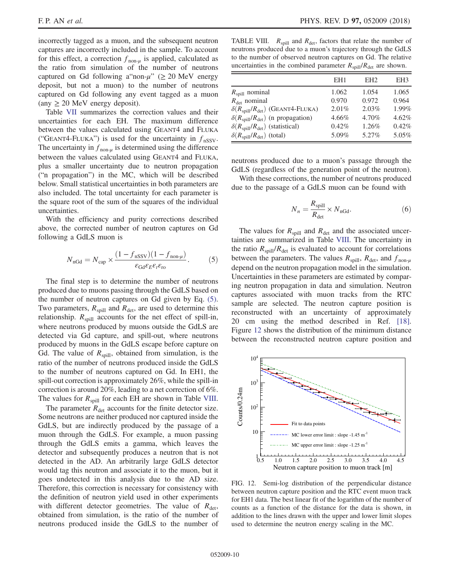<span id="page-10-0"></span>incorrectly tagged as a muon, and the subsequent neutron captures are incorrectly included in the sample. To account for this effect, a correction  $f_{\text{non-}\mu}$  is applied, calculated as the ratio from simulation of the number of neutrons captured on Gd following a non- $\mu$ " ( $\geq$  20 MeV energy deposit, but not a muon) to the number of neutrons captured on Gd following any event tagged as a muon  $(\text{any } \geq 20 \text{ MeV} \text{ energy deposit}).$ 

Table [VII](#page-8-4) summarizes the correction values and their uncertainties for each EH. The maximum difference between the values calculated using GEANT4 and FLUKA ("GEANT4-FLUKA") is used for the uncertainty in  $f$ <sub>nSSV</sub>. The uncertainty in  $f_{\text{non-}\mu}$  is determined using the difference between the values calculated using GEANT4 and FLUKA, plus a smaller uncertainty due to neutron propagation ("n propagation") in the MC, which will be described below. Small statistical uncertainties in both parameters are also included. The total uncertainty for each parameter is the square root of the sum of the squares of the individual uncertainties.

With the efficiency and purity corrections described above, the corrected number of neutron captures on Gd following a GdLS muon is

$$
N_{\text{nGd}} = N_{\text{cap}} \times \frac{(1 - f_{\text{nSSV}})(1 - f_{\text{non-}\mu})}{\varepsilon_{\text{Gd}} \varepsilon_E \varepsilon_t \varepsilon_{\text{ro}}}. \tag{5}
$$

<span id="page-10-1"></span>The final step is to determine the number of neutrons produced due to muons passing through the GdLS based on the number of neutron captures on Gd given by Eq. [\(5\)](#page-9-0). Two parameters,  $R_{\text{spill}}$  and  $R_{\text{det}}$ , are used to determine this relationship.  $R_{\text{solid}}$  accounts for the net effect of spill-in, where neutrons produced by muons outside the GdLS are detected via Gd capture, and spill-out, where neutrons produced by muons in the GdLS escape before capture on Gd. The value of  $R_{\text{solid}}$ , obtained from simulation, is the ratio of the number of neutrons produced inside the GdLS to the number of neutrons captured on Gd. In EH1, the spill-out correction is approximately 26%, while the spill-in correction is around 20%, leading to a net correction of 6%. The values for  $R_{\text{spill}}$  for each EH are shown in Table [VIII](#page-9-1).

The parameter  $R_{\text{det}}$  accounts for the finite detector size. Some neutrons are neither produced nor captured inside the GdLS, but are indirectly produced by the passage of a muon through the GdLS. For example, a muon passing through the GdLS emits a gamma, which leaves the detector and subsequently produces a neutron that is not detected in the AD. An arbitrarily large GdLS detector would tag this neutron and associate it to the muon, but it goes undetected in this analysis due to the AD size. Therefore, this correction is necessary for consistency with the definition of neutron yield used in other experiments with different detector geometries. The value of  $R_{\text{det}}$ , obtained from simulation, is the ratio of the number of neutrons produced inside the GdLS to the number of

TABLE VIII.  $R_{\text{spill}}$  and  $R_{\text{det}}$ , factors that relate the number of neutrons produced due to a muon's trajectory through the GdLS to the number of observed neutron captures on Gd. The relative uncertainties in the combined parameter  $R_{\text{spill}}/R_{\text{det}}$  are shown.

|                                                           | EH1      | EH <sub>2</sub> | EH3   |
|-----------------------------------------------------------|----------|-----------------|-------|
| $R_{\text{spill}}$ nominal                                | 1.062    | 1.054           | 1.065 |
| $R_{\text{det}}$ nominal                                  | 0.970    | 0.972           | 0.964 |
| $\delta(R_{\text{spill}}/R_{\text{det}})$ (GEANT4-FLUKA)  | $2.01\%$ | 2.03%           | 1.99% |
| $\delta(R_{\text{spill}}/R_{\text{det}})$ (n propagation) | 4.66%    | 4.70%           | 4.62% |
| $\delta(R_{\text{spill}}/R_{\text{det}})$ (statistical)   | 0.42%    | 1.26%           | 0.42% |
| $\delta(R_{\text{spill}}/R_{\text{det}})$ (total)         | 5.09%    | 5.27%           | 5.05% |

neutrons produced due to a muon's passage through the GdLS (regardless of the generation point of the neutron).

With these corrections, the number of neutrons produced due to the passage of a GdLS muon can be found with

$$
N_n = \frac{R_{\text{spill}}}{R_{\text{det}}} \times N_{\text{nGd}}.\tag{6}
$$

The values for  $R_{\text{solid}}$  and  $R_{\text{det}}$  and the associated uncertainties are summarized in Table [VIII](#page-9-1). The uncertainty in the ratio  $R_{\text{spill}}/R_{\text{det}}$  is evaluated to account for correlations between the parameters. The values  $R_{\text{spill}}$ ,  $R_{\text{det}}$ , and  $f_{\text{non-u}}$ depend on the neutron propagation model in the simulation. Uncertainties in these parameters are estimated by comparing neutron propagation in data and simulation. Neutron captures associated with muon tracks from the RTC sample are selected. The neutron capture position is reconstructed with an uncertainty of approximately 20 cm using the method described in Ref. [\[18\]](#page-12-15). Figure [12](#page-9-2) shows the distribution of the minimum distance between the reconstructed neutron capture position and



FIG. 12. Semi-log distribution of the perpendicular distance between neutron capture position and the RTC event muon track for EH1 data. The best linear fit of the logarithm of the number of counts as a function of the distance for the data is shown, in addition to the lines drawn with the upper and lower limit slopes used to determine the neutron energy scaling in the MC.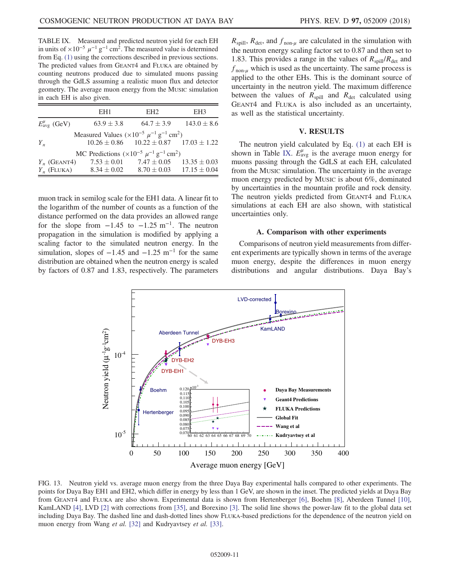TABLE IX. Measured and predicted neutron yield for each EH in units of  $\times 10^{-5}$   $\mu^{-1}$  g<sup>-1</sup> cm<sup>2</sup>. The measured value is determined from Eq. [\(1\)](#page-4-2) using the corrections described in previous sections. The predicted values from GEANT4 and FLUKA are obtained by counting neutrons produced due to simulated muons passing through the GdLS assuming a realistic muon flux and detector geometry. The average muon energy from the MUSIC simulation in each EH is also given.

|                              | EH1                                                                             | EH <sub>2</sub>                                    | EH3                            |
|------------------------------|---------------------------------------------------------------------------------|----------------------------------------------------|--------------------------------|
| $E_{\text{avg}}^{\mu}$ (GeV) | $63.9 \pm 3.8$                                                                  |                                                    | $64.7 \pm 3.9$ $143.0 \pm 8.6$ |
| $Y_n$                        | Measured Values ( $\times 10^{-5}$ $\mu^{-1}$ g <sup>-1</sup> cm <sup>2</sup> ) | $10.26 \pm 0.86$ $10.22 \pm 0.87$ $17.03 \pm 1.22$ |                                |
|                              | MC Predictions $(\times 10^{-5} \mu^{-1} \text{ g}^{-1} \text{ cm}^2)$          |                                                    |                                |
| $Y_n$ (GEANT4)               |                                                                                 | $7.53 \pm 0.01$ $7.47 \pm 0.05$ $13.35 \pm 0.03$   |                                |
| $Y_n$ (FLUKA)                |                                                                                 | $8.34 \pm 0.02$ $8.70 \pm 0.03$ $17.15 \pm 0.04$   |                                |

muon track in semilog scale for the EH1 data. A linear fit to the logarithm of the number of counts as a function of the distance performed on the data provides an allowed range for the slope from  $-1.45$  to  $-1.25$  m<sup>-1</sup>. The neutron propagation in the simulation is modified by applying a scaling factor to the simulated neutron energy. In the simulation, slopes of  $-1.45$  and  $-1.25$  m<sup>-1</sup> for the same distribution are obtained when the neutron energy is scaled by factors of 0.87 and 1.83, respectively. The parameters  $R_{\text{spill}}$ ,  $R_{\text{det}}$ , and  $f_{\text{non-}\mu}$  are calculated in the simulation with the neutron energy scaling factor set to 0.87 and then set to 1.83. This provides a range in the values of  $R_{\text{spill}}/R_{\text{det}}$  and  $f_{\text{non-}\mu}$  which is used as the uncertainty. The same process is applied to the other EHs. This is the dominant source of uncertainty in the neutron yield. The maximum difference between the values of  $R_{\text{spill}}$  and  $R_{\text{det}}$  calculated using GEANT4 and FLUKA is also included as an uncertainty, as well as the statistical uncertainty.

### V. RESULTS

The neutron yield calculated by Eq. [\(1\)](#page-4-2) at each EH is shown in Table [IX.](#page-10-0)  $E_{\text{avg}}^{\mu}$  is the average muon energy for muons passing through the GdLS at each EH, calculated from the MUSIC simulation. The uncertainty in the average muon energy predicted by MUSIC is about 6%, dominated by uncertainties in the mountain profile and rock density. The neutron yields predicted from GEANT4 and FLUKA simulations at each EH are also shown, with statistical uncertainties only.

#### A. Comparison with other experiments

<span id="page-11-5"></span>Comparisons of neutron yield measurements from different experiments are typically shown in terms of the average muon energy, despite the differences in muon energy distributions and angular distributions. Daya Bay's



<span id="page-11-7"></span><span id="page-11-6"></span><span id="page-11-4"></span><span id="page-11-3"></span><span id="page-11-2"></span><span id="page-11-1"></span><span id="page-11-0"></span>FIG. 13. Neutron yield vs. average muon energy from the three Daya Bay experimental halls compared to other experiments. The points for Daya Bay EH1 and EH2, which differ in energy by less than 1 GeV, are shown in the inset. The predicted yields at Daya Bay from GEANT4 and FLUKA are also shown. Experimental data is shown from Hertenberger [\[6\],](#page-11-5) Boehm [\[8\],](#page-11-6) Aberdeen Tunnel [\[10\],](#page-11-7) KamLAND [\[4\]](#page-11-3), LVD [\[2\]](#page-11-1) with corrections from [\[35\],](#page-12-16) and Borexino [\[3\].](#page-11-2) The solid line shows the power-law fit to the global data set including Daya Bay. The dashed line and dash-dotted lines show FLUKA-based predictions for the dependence of the neutron yield on muon energy from Wang et al. [\[32\]](#page-12-11) and Kudryavtsey et al. [\[33\].](#page-12-17)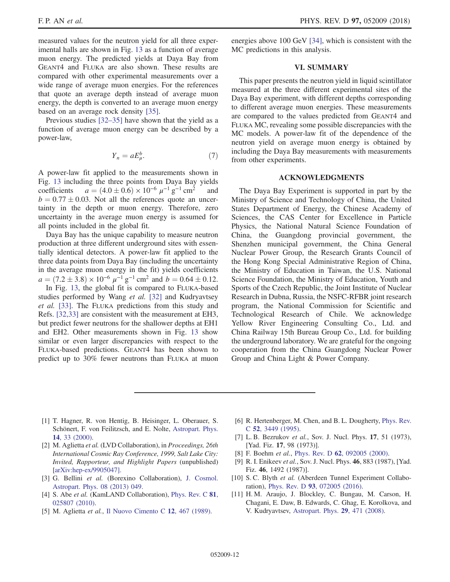F. P. AN *et al.* PHYS. REV. D **97,** 052009 (2018)

<span id="page-12-1"></span><span id="page-12-0"></span>measured values for the neutron yield for all three experimental halls are shown in Fig. [13](#page-10-1) as a function of average muon energy. The predicted yields at Daya Bay from GEANT4 and FLUKA are also shown. These results are compared with other experimental measurements over a wide range of average muon energies. For the references that quote an average depth instead of average muon energy, the depth is converted to an average muon energy based on an average rock density [\[35\].](#page-12-16)

<span id="page-12-15"></span><span id="page-12-3"></span><span id="page-12-2"></span>Previous studies [32–[35\]](#page-12-11) have shown that the yield as a function of average muon energy can be described by a power-law,

$$
Y_n = aE^b_\mu. \tag{7}
$$

<span id="page-12-13"></span><span id="page-12-6"></span><span id="page-12-5"></span><span id="page-12-4"></span>A power-law fit applied to the measurements shown in Fig. [13](#page-10-1) including the three points from Daya Bay yields coefficients  $a = (4.0 \pm 0.6) \times 10^{-6} \mu^{-1} g^{-1} \text{ cm}^2$ and  $b = 0.77 \pm 0.03$ . Not all the references quote an uncertainty in the depth or muon energy. Therefore, zero uncertainty in the average muon energy is assumed for all points included in the global fit.

<span id="page-12-8"></span><span id="page-12-7"></span>Daya Bay has the unique capability to measure neutron production at three different underground sites with essentially identical detectors. A power-law fit applied to the three data points from Daya Bay (including the uncertainty in the average muon energy in the fit) yields coefficients  $a = (7.2 \pm 3.8) \times 10^{-6} \mu^{-1} \text{ g}^{-1} \text{ cm}^2 \text{ and } b = 0.64 \pm 0.12.$ 

In Fig. [13](#page-10-1), the global fit is compared to FLUKA-based studies performed by Wang et al. [\[32\]](#page-12-11) and Kudryavtsey et al. [\[33\]](#page-12-17). The FLUKA predictions from this study and Refs. [\[32,33\]](#page-12-11) are consistent with the measurement at EH3, but predict fewer neutrons for the shallower depths at EH1 and EH2. Other measurements shown in Fig. [13](#page-10-1) show similar or even larger discrepancies with respect to the FLUKA-based predictions. GEANT4 has been shown to predict up to 30% fewer neutrons than FLUKA at muon <span id="page-12-9"></span>energies above 100 GeV [\[34\]](#page-12-18), which is consistent with the MC predictions in this analysis.

#### VI. SUMMARY

<span id="page-12-17"></span><span id="page-12-11"></span><span id="page-12-10"></span>This paper presents the neutron yield in liquid scintillator measured at the three different experimental sites of the Daya Bay experiment, with different depths corresponding to different average muon energies. These measurements are compared to the values predicted from GEANT4 and FLUKA MC, revealing some possible discrepancies with the MC models. A power-law fit of the dependence of the neutron yield on average muon energy is obtained by including the Daya Bay measurements with measurements from other experiments.

## ACKNOWLEDGMENTS

<span id="page-12-18"></span><span id="page-12-16"></span><span id="page-12-14"></span><span id="page-12-12"></span>The Daya Bay Experiment is supported in part by the Ministry of Science and Technology of China, the United States Department of Energy, the Chinese Academy of Sciences, the CAS Center for Excellence in Particle Physics, the National Natural Science Foundation of China, the Guangdong provincial government, the Shenzhen municipal government, the China General Nuclear Power Group, the Research Grants Council of the Hong Kong Special Administrative Region of China, the Ministry of Education in Taiwan, the U.S. National Science Foundation, the Ministry of Education, Youth and Sports of the Czech Republic, the Joint Institute of Nuclear Research in Dubna, Russia, the NSFC-RFBR joint research program, the National Commission for Scientific and Technological Research of Chile. We acknowledge Yellow River Engineering Consulting Co., Ltd. and China Railway 15th Bureau Group Co., Ltd. for building the underground laboratory. We are grateful for the ongoing cooperation from the China Guangdong Nuclear Power Group and China Light & Power Company.

- [1] T. Hagner, R. von Hentig, B. Heisinger, L. Oberauer, S. Schönert, F. von Feilitzsch, and E. Nolte, [Astropart. Phys.](https://doi.org/10.1016/S0927-6505(00)00103-1) 14[, 33 \(2000\).](https://doi.org/10.1016/S0927-6505(00)00103-1)
- [2] M. Aglietta et al. (LVD Collaboration), in Proceedings, 26th International Cosmic Ray Conference, 1999, Salt Lake City: Invited, Rapporteur, and Highlight Papers (unpublished) [[arXiv:hep-ex/9905047\].](http://arXiv.org/abs/hep-ex/9905047)
- [3] G. Bellini et al. (Borexino Collaboration), [J. Cosmol.](https://doi.org/10.1088/1475-7516/2013/08/049) [Astropart. Phys. 08 \(2013\) 049.](https://doi.org/10.1088/1475-7516/2013/08/049)
- [4] S. Abe *et al.* (KamLAND Collaboration), [Phys. Rev. C](https://doi.org/10.1103/PhysRevC.81.025807) **81**, [025807 \(2010\).](https://doi.org/10.1103/PhysRevC.81.025807)
- [5] M. Aglietta et al., [Il Nuovo Cimento C](https://doi.org/10.1007/BF02525079) 12, 467 (1989).
- [6] R. Hertenberger, M. Chen, and B. L. Dougherty, [Phys. Rev.](https://doi.org/10.1103/PhysRevC.52.3449) C 52[, 3449 \(1995\)](https://doi.org/10.1103/PhysRevC.52.3449).
- [7] L. B. Bezrukov et al., Sov. J. Nucl. Phys. 17, 51 (1973), [Yad. Fiz. 17, 98 (1973)].
- [8] F. Boehm et al., Phys. Rev. D 62[, 092005 \(2000\).](https://doi.org/10.1103/PhysRevD.62.092005)
- [9] R. I. Enikeev et al., Sov. J. Nucl. Phys. 46, 883 (1987), [Yad. Fiz. 46, 1492 (1987)].
- [10] S. C. Blyth et al. (Aberdeen Tunnel Experiment Collaboration), Phys. Rev. D 93[, 072005 \(2016\)](https://doi.org/10.1103/PhysRevD.93.072005).
- [11] H. M. Araujo, J. Blockley, C. Bungau, M. Carson, H. Chagani, E. Daw, B. Edwards, C. Ghag, E. Korolkova, and V. Kudryavtsev, [Astropart. Phys.](https://doi.org/10.1016/j.astropartphys.2008.05.004) 29, 471 (2008).